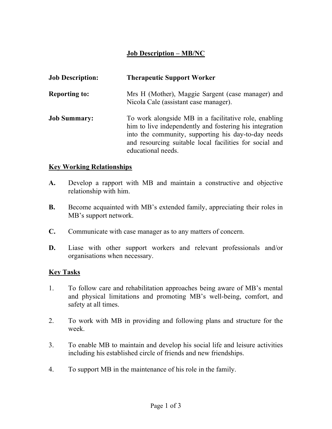## Job Description – MB/NC

| <b>Job Description:</b> | <b>Therapeutic Support Worker</b>                                                                                                                                                                                                                        |
|-------------------------|----------------------------------------------------------------------------------------------------------------------------------------------------------------------------------------------------------------------------------------------------------|
| <b>Reporting to:</b>    | Mrs H (Mother), Maggie Sargent (case manager) and<br>Nicola Cale (assistant case manager).                                                                                                                                                               |
| <b>Job Summary:</b>     | To work alongside MB in a facilitative role, enabling<br>him to live independently and fostering his integration<br>into the community, supporting his day-to-day needs<br>and resourcing suitable local facilities for social and<br>educational needs. |

## Key Working Relationships

- A. Develop a rapport with MB and maintain a constructive and objective relationship with him.
- B. Become acquainted with MB's extended family, appreciating their roles in MB's support network.
- C. Communicate with case manager as to any matters of concern.
- D. Liase with other support workers and relevant professionals and/or organisations when necessary.

## Key Tasks

- 1. To follow care and rehabilitation approaches being aware of MB's mental and physical limitations and promoting MB's well-being, comfort, and safety at all times.
- 2. To work with MB in providing and following plans and structure for the week.
- 3. To enable MB to maintain and develop his social life and leisure activities including his established circle of friends and new friendships.
- 4. To support MB in the maintenance of his role in the family.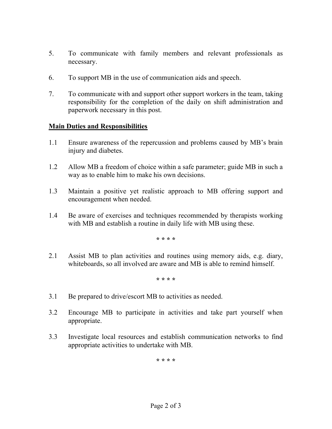- 5. To communicate with family members and relevant professionals as necessary.
- 6. To support MB in the use of communication aids and speech.
- 7. To communicate with and support other support workers in the team, taking responsibility for the completion of the daily on shift administration and paperwork necessary in this post.

## Main Duties and Responsibilities

- 1.1 Ensure awareness of the repercussion and problems caused by MB's brain injury and diabetes.
- 1.2 Allow MB a freedom of choice within a safe parameter; guide MB in such a way as to enable him to make his own decisions.
- 1.3 Maintain a positive yet realistic approach to MB offering support and encouragement when needed.
- 1.4 Be aware of exercises and techniques recommended by therapists working with MB and establish a routine in daily life with MB using these.

\* \* \* \*

2.1 Assist MB to plan activities and routines using memory aids, e.g. diary, whiteboards, so all involved are aware and MB is able to remind himself.

\* \* \* \*

- 3.1 Be prepared to drive/escort MB to activities as needed.
- 3.2 Encourage MB to participate in activities and take part yourself when appropriate.
- 3.3 Investigate local resources and establish communication networks to find appropriate activities to undertake with MB.

\* \* \* \*